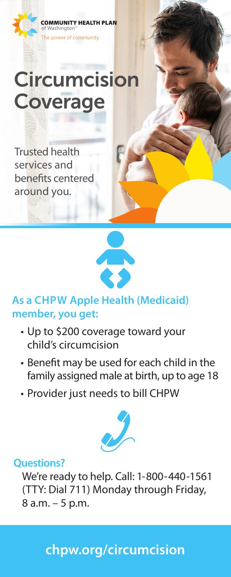

# **Circumcision** Coverage

Trusted health services and benefits centered around you.



### **As a CHPW Apple Health (Medicaid) member, you get:**

- Up to \$200 coverage toward your child's circumcision
- Benefit may be used for each child in the family assigned male at birth, up to age 18
- Provider just needs to bill CHPW



#### **Questions?**

We're ready to help. Call: 1-800-440-1561 (TTY: Dial 711) Monday through Friday, 8 a.m. – 5 p.m.

### **chpw.org/circumcision**